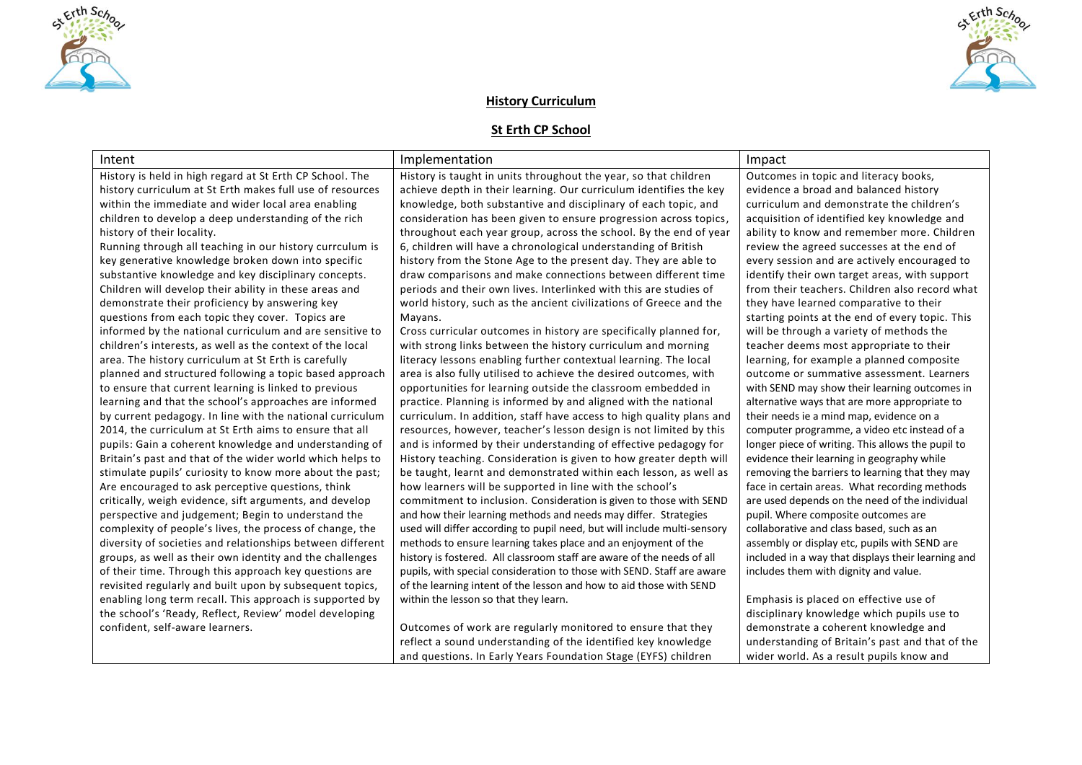



# **History Curriculum**

# **St Erth CP School**

| Intent                                                     | Implementation                                                           | Impact                                             |
|------------------------------------------------------------|--------------------------------------------------------------------------|----------------------------------------------------|
| History is held in high regard at St Erth CP School. The   | History is taught in units throughout the year, so that children         | Outcomes in topic and literacy books,              |
| history curriculum at St Erth makes full use of resources  | achieve depth in their learning. Our curriculum identifies the key       | evidence a broad and balanced history              |
| within the immediate and wider local area enabling         | knowledge, both substantive and disciplinary of each topic, and          | curriculum and demonstrate the children's          |
| children to develop a deep understanding of the rich       | consideration has been given to ensure progression across topics,        | acquisition of identified key knowledge and        |
| history of their locality.                                 | throughout each year group, across the school. By the end of year        | ability to know and remember more. Children        |
| Running through all teaching in our history currculum is   | 6, children will have a chronological understanding of British           | review the agreed successes at the end of          |
| key generative knowledge broken down into specific         | history from the Stone Age to the present day. They are able to          | every session and are actively encouraged to       |
| substantive knowledge and key disciplinary concepts.       | draw comparisons and make connections between different time             | identify their own target areas, with support      |
| Children will develop their ability in these areas and     | periods and their own lives. Interlinked with this are studies of        | from their teachers. Children also record what     |
| demonstrate their proficiency by answering key             | world history, such as the ancient civilizations of Greece and the       | they have learned comparative to their             |
| questions from each topic they cover. Topics are           | Mayans.                                                                  | starting points at the end of every topic. This    |
| informed by the national curriculum and are sensitive to   | Cross curricular outcomes in history are specifically planned for,       | will be through a variety of methods the           |
| children's interests, as well as the context of the local  | with strong links between the history curriculum and morning             | teacher deems most appropriate to their            |
| area. The history curriculum at St Erth is carefully       | literacy lessons enabling further contextual learning. The local         | learning, for example a planned composite          |
| planned and structured following a topic based approach    | area is also fully utilised to achieve the desired outcomes, with        | outcome or summative assessment. Learners          |
| to ensure that current learning is linked to previous      | opportunities for learning outside the classroom embedded in             | with SEND may show their learning outcomes in      |
| learning and that the school's approaches are informed     | practice. Planning is informed by and aligned with the national          | alternative ways that are more appropriate to      |
| by current pedagogy. In line with the national curriculum  | curriculum. In addition, staff have access to high quality plans and     | their needs ie a mind map, evidence on a           |
| 2014, the curriculum at St Erth aims to ensure that all    | resources, however, teacher's lesson design is not limited by this       | computer programme, a video etc instead of a       |
| pupils: Gain a coherent knowledge and understanding of     | and is informed by their understanding of effective pedagogy for         | longer piece of writing. This allows the pupil to  |
| Britain's past and that of the wider world which helps to  | History teaching. Consideration is given to how greater depth will       | evidence their learning in geography while         |
| stimulate pupils' curiosity to know more about the past;   | be taught, learnt and demonstrated within each lesson, as well as        | removing the barriers to learning that they may    |
| Are encouraged to ask perceptive questions, think          | how learners will be supported in line with the school's                 | face in certain areas. What recording methods      |
| critically, weigh evidence, sift arguments, and develop    | commitment to inclusion. Consideration is given to those with SEND       | are used depends on the need of the individual     |
| perspective and judgement; Begin to understand the         | and how their learning methods and needs may differ. Strategies          | pupil. Where composite outcomes are                |
| complexity of people's lives, the process of change, the   | used will differ according to pupil need, but will include multi-sensory | collaborative and class based, such as an          |
| diversity of societies and relationships between different | methods to ensure learning takes place and an enjoyment of the           | assembly or display etc, pupils with SEND are      |
| groups, as well as their own identity and the challenges   | history is fostered. All classroom staff are aware of the needs of all   | included in a way that displays their learning and |
| of their time. Through this approach key questions are     | pupils, with special consideration to those with SEND. Staff are aware   | includes them with dignity and value.              |
| revisited regularly and built upon by subsequent topics,   | of the learning intent of the lesson and how to aid those with SEND      |                                                    |
| enabling long term recall. This approach is supported by   | within the lesson so that they learn.                                    | Emphasis is placed on effective use of             |
| the school's 'Ready, Reflect, Review' model developing     |                                                                          | disciplinary knowledge which pupils use to         |
| confident, self-aware learners.                            | Outcomes of work are regularly monitored to ensure that they             | demonstrate a coherent knowledge and               |
|                                                            | reflect a sound understanding of the identified key knowledge            | understanding of Britain's past and that of the    |
|                                                            | and questions. In Early Years Foundation Stage (EYFS) children           | wider world. As a result pupils know and           |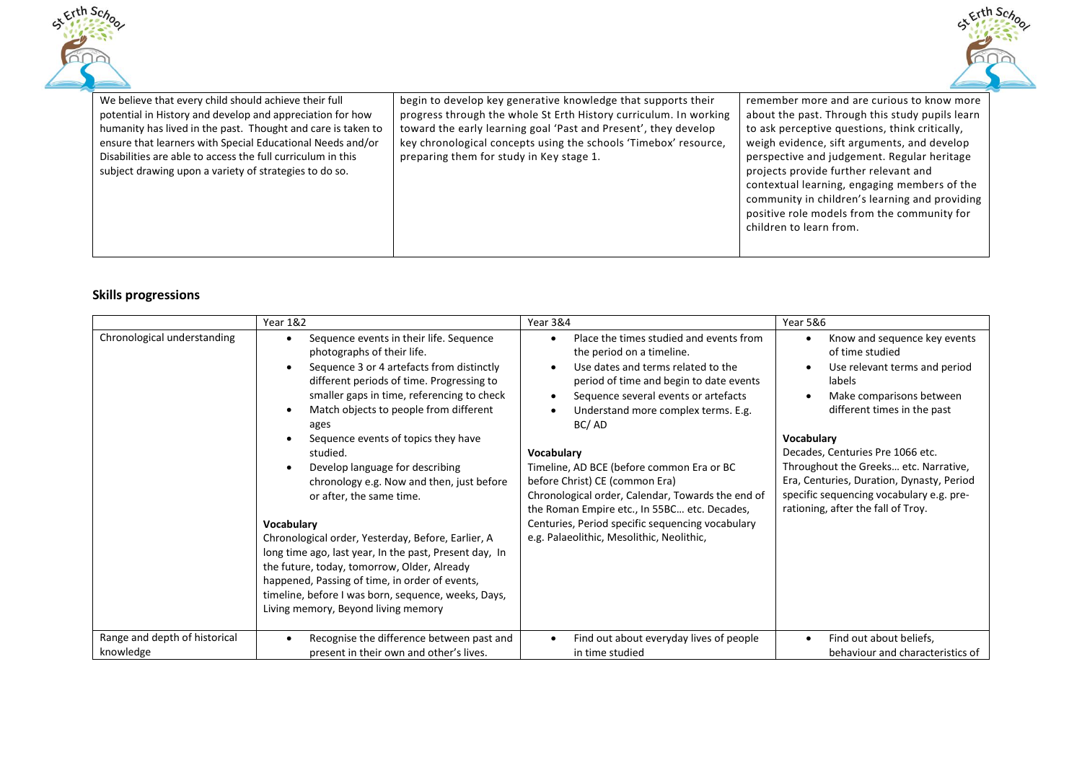



| We believe that every child should achieve their full                                                                                                                                                                                                                                                            | begin to develop key generative knowledge that supports their                                                                                                                                                                                        | remember more and are curious to know more                                                                                                                                                                                                                                               |
|------------------------------------------------------------------------------------------------------------------------------------------------------------------------------------------------------------------------------------------------------------------------------------------------------------------|------------------------------------------------------------------------------------------------------------------------------------------------------------------------------------------------------------------------------------------------------|------------------------------------------------------------------------------------------------------------------------------------------------------------------------------------------------------------------------------------------------------------------------------------------|
| potential in History and develop and appreciation for how<br>humanity has lived in the past. Thought and care is taken to<br>ensure that learners with Special Educational Needs and/or<br>Disabilities are able to access the full curriculum in this<br>subject drawing upon a variety of strategies to do so. | progress through the whole St Erth History curriculum. In working<br>toward the early learning goal 'Past and Present', they develop<br>key chronological concepts using the schools 'Timebox' resource,<br>preparing them for study in Key stage 1. | about the past. Through this study pupils learn<br>to ask perceptive questions, think critically,<br>weigh evidence, sift arguments, and develop<br>perspective and judgement. Regular heritage<br>projects provide further relevant and<br>contextual learning, engaging members of the |
|                                                                                                                                                                                                                                                                                                                  |                                                                                                                                                                                                                                                      | community in children's learning and providing<br>positive role models from the community for<br>children to learn from.                                                                                                                                                                 |

# **Skills progressions**

|                                            | Year 1&2                                                                                                                                                                                                                                                                                                                                                                                                                                                                                                                                                                                                                                                                                                                                                                              | Year 3&4                                                                                                                                                                                                                                                                                                                                                                                                                                                                                                                                                                                | Year 5&6                                                                                                                                                                                                                                                                                                                                                                               |
|--------------------------------------------|---------------------------------------------------------------------------------------------------------------------------------------------------------------------------------------------------------------------------------------------------------------------------------------------------------------------------------------------------------------------------------------------------------------------------------------------------------------------------------------------------------------------------------------------------------------------------------------------------------------------------------------------------------------------------------------------------------------------------------------------------------------------------------------|-----------------------------------------------------------------------------------------------------------------------------------------------------------------------------------------------------------------------------------------------------------------------------------------------------------------------------------------------------------------------------------------------------------------------------------------------------------------------------------------------------------------------------------------------------------------------------------------|----------------------------------------------------------------------------------------------------------------------------------------------------------------------------------------------------------------------------------------------------------------------------------------------------------------------------------------------------------------------------------------|
| Chronological understanding                | Sequence events in their life. Sequence<br>$\bullet$<br>photographs of their life.<br>Sequence 3 or 4 artefacts from distinctly<br>$\bullet$<br>different periods of time. Progressing to<br>smaller gaps in time, referencing to check<br>Match objects to people from different<br>ages<br>Sequence events of topics they have<br>studied.<br>Develop language for describing<br>chronology e.g. Now and then, just before<br>or after, the same time.<br>Vocabulary<br>Chronological order, Yesterday, Before, Earlier, A<br>long time ago, last year, In the past, Present day, In<br>the future, today, tomorrow, Older, Already<br>happened, Passing of time, in order of events,<br>timeline, before I was born, sequence, weeks, Days,<br>Living memory, Beyond living memory | Place the times studied and events from<br>$\bullet$<br>the period on a timeline.<br>Use dates and terms related to the<br>$\bullet$<br>period of time and begin to date events<br>Sequence several events or artefacts<br>$\bullet$<br>Understand more complex terms. E.g.<br>BC/AD<br>Vocabulary<br>Timeline, AD BCE (before common Era or BC<br>before Christ) CE (common Era)<br>Chronological order, Calendar, Towards the end of<br>the Roman Empire etc., In 55BC etc. Decades,<br>Centuries, Period specific sequencing vocabulary<br>e.g. Palaeolithic, Mesolithic, Neolithic, | Know and sequence key events<br>of time studied<br>Use relevant terms and period<br>labels<br>Make comparisons between<br>different times in the past<br><b>Vocabulary</b><br>Decades, Centuries Pre 1066 etc.<br>Throughout the Greeks etc. Narrative,<br>Era, Centuries, Duration, Dynasty, Period<br>specific sequencing vocabulary e.g. pre-<br>rationing, after the fall of Troy. |
| Range and depth of historical<br>knowledge | Recognise the difference between past and<br>present in their own and other's lives.                                                                                                                                                                                                                                                                                                                                                                                                                                                                                                                                                                                                                                                                                                  | Find out about everyday lives of people<br>$\bullet$<br>in time studied                                                                                                                                                                                                                                                                                                                                                                                                                                                                                                                 | Find out about beliefs,<br>$\bullet$<br>behaviour and characteristics of                                                                                                                                                                                                                                                                                                               |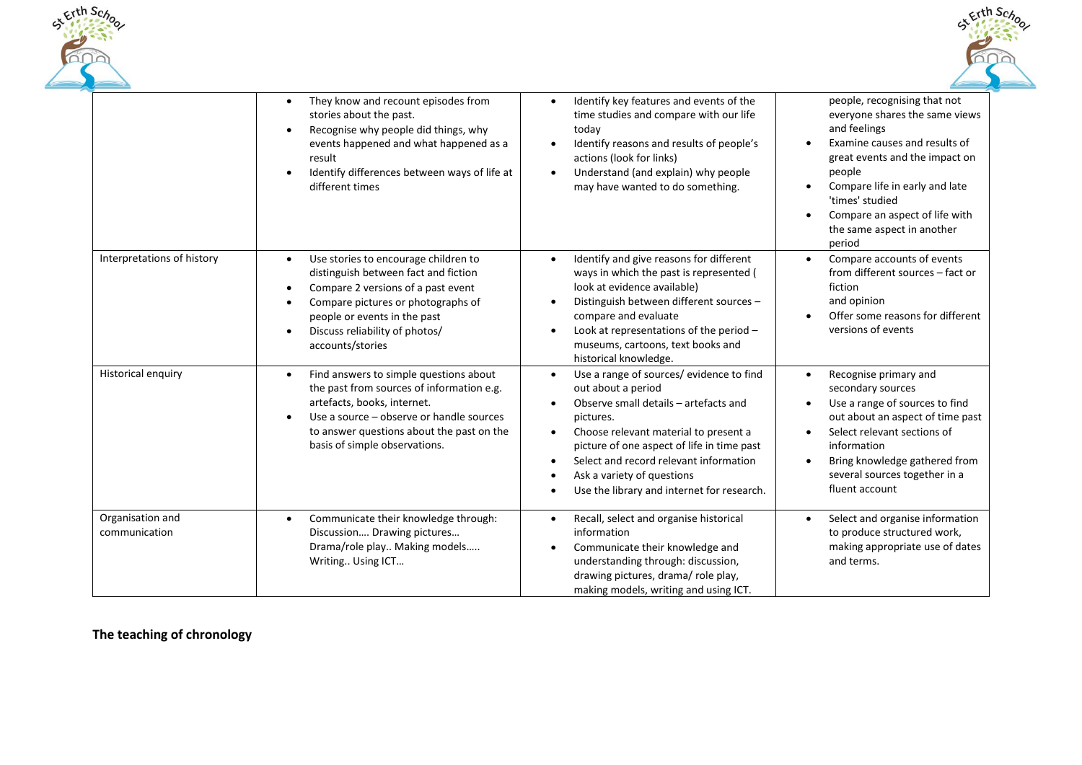



|                                   | They know and recount episodes from<br>$\bullet$<br>stories about the past.<br>Recognise why people did things, why<br>$\bullet$<br>events happened and what happened as a<br>result<br>Identify differences between ways of life at<br>different times                                            | Identify key features and events of the<br>$\bullet$<br>time studies and compare with our life<br>today<br>Identify reasons and results of people's<br>actions (look for links)<br>Understand (and explain) why people<br>$\bullet$<br>may have wanted to do something.                                                                                                  | people, recognising that not<br>everyone shares the same views<br>and feelings<br>Examine causes and results of<br>great events and the impact on<br>people<br>Compare life in early and late<br>'times' studied<br>Compare an aspect of life with<br>the same aspect in another<br>period |
|-----------------------------------|----------------------------------------------------------------------------------------------------------------------------------------------------------------------------------------------------------------------------------------------------------------------------------------------------|--------------------------------------------------------------------------------------------------------------------------------------------------------------------------------------------------------------------------------------------------------------------------------------------------------------------------------------------------------------------------|--------------------------------------------------------------------------------------------------------------------------------------------------------------------------------------------------------------------------------------------------------------------------------------------|
| Interpretations of history        | Use stories to encourage children to<br>$\bullet$<br>distinguish between fact and fiction<br>Compare 2 versions of a past event<br>$\bullet$<br>Compare pictures or photographs of<br>$\bullet$<br>people or events in the past<br>Discuss reliability of photos/<br>$\bullet$<br>accounts/stories | Identify and give reasons for different<br>$\bullet$<br>ways in which the past is represented (<br>look at evidence available)<br>Distinguish between different sources -<br>$\bullet$<br>compare and evaluate<br>Look at representations of the period -<br>$\bullet$<br>museums, cartoons, text books and<br>historical knowledge.                                     | Compare accounts of events<br>from different sources - fact or<br>fiction<br>and opinion<br>Offer some reasons for different<br>versions of events                                                                                                                                         |
| Historical enquiry                | Find answers to simple questions about<br>$\bullet$<br>the past from sources of information e.g.<br>artefacts, books, internet.<br>Use a source – observe or handle sources<br>$\bullet$<br>to answer questions about the past on the<br>basis of simple observations.                             | Use a range of sources/ evidence to find<br>out about a period<br>Observe small details - artefacts and<br>$\bullet$<br>pictures.<br>Choose relevant material to present a<br>$\bullet$<br>picture of one aspect of life in time past<br>Select and record relevant information<br>$\bullet$<br>Ask a variety of questions<br>Use the library and internet for research. | Recognise primary and<br>$\bullet$<br>secondary sources<br>Use a range of sources to find<br>$\bullet$<br>out about an aspect of time past<br>Select relevant sections of<br>information<br>Bring knowledge gathered from<br>several sources together in a<br>fluent account               |
| Organisation and<br>communication | Communicate their knowledge through:<br>$\bullet$<br>Discussion Drawing pictures<br>Drama/role play Making models<br>Writing Using ICT                                                                                                                                                             | Recall, select and organise historical<br>$\bullet$<br>information<br>Communicate their knowledge and<br>$\bullet$<br>understanding through: discussion,<br>drawing pictures, drama/ role play,<br>making models, writing and using ICT.                                                                                                                                 | Select and organise information<br>$\bullet$<br>to produce structured work,<br>making appropriate use of dates<br>and terms.                                                                                                                                                               |

**The teaching of chronology**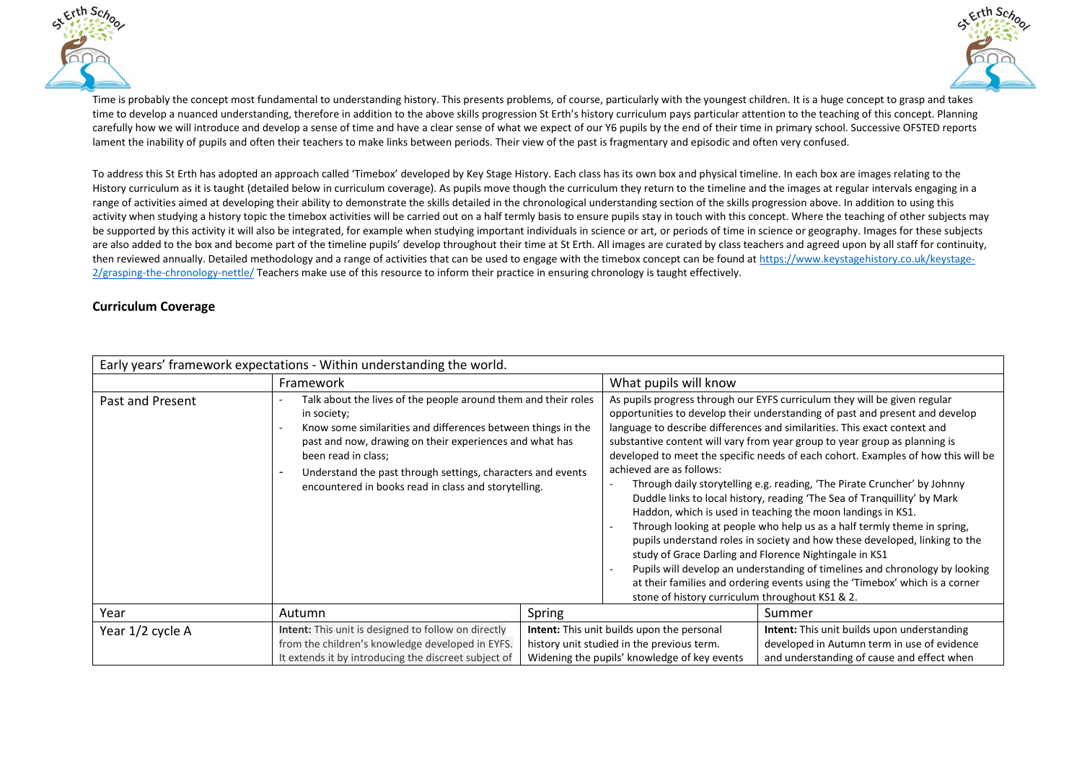



Time is probably the concept most fundamental to understanding history. This presents problems, of course, particularly with the youngest children. It is a huge concept to grasp and takes time to develop a nuanced understanding, therefore in addition to the above skills progression St Erth's history curriculum pays particular attention to the teaching of this concept. Planning carefully how we will introduce and develop a sense of time and have a clear sense of what we expect of our Y6 pupils by the end of their time in primary school. Successive OFSTED reports lament the inability of pupils and often their teachers to make links between periods. Their view of the past is fragmentary and episodic and often very confused.

To address this St Erth has adopted an approach called 'Timebox' developed by Key Stage History. Each class has its own box and physical timeline. In each box are images relating to the History curriculum as it is taught (detailed below in curriculum coverage). As pupils move though the curriculum they return to the timeline and the images at regular intervals engaging in a range of activities aimed at developing their ability to demonstrate the skills detailed in the chronological understanding section of the skills progression above. In addition to using this activity when studying a history topic the timebox activities will be carried out on a half termly basis to ensure pupils stay in touch with this concept. Where the teaching of other subjects may be supported by this activity it will also be integrated, for example when studying important individuals in science or art, or periods of time in science or geography. Images for these subjects are also added to the box and become part of the timeline pupils' develop throughout their time at St Erth. All images are curated by class teachers and agreed upon by all staff for continuity, then reviewed annually. Detailed methodology and a range of activities that can be used to engage with the timebox concept can be found at [https://www.keystagehistory.co.uk/keystage-](https://www.keystagehistory.co.uk/keystage-2/grasping-the-chronology-nettle/)[2/grasping-the-chronology-nettle/](https://www.keystagehistory.co.uk/keystage-2/grasping-the-chronology-nettle/) Teachers make use of this resource to inform their practice in ensuring chronology is taught effectively.

## **Curriculum Coverage**

| Early years' framework expectations - Within understanding the world. |                                                                                                                                                                                                                                                                                                                                                        |        |                                                                                                                                                                                                                                                                                                                                                                                                                                                                                                                                                                                                                                                                                                                                                                                                                                                                                                                                                                                                                                                                                                  |                                                    |
|-----------------------------------------------------------------------|--------------------------------------------------------------------------------------------------------------------------------------------------------------------------------------------------------------------------------------------------------------------------------------------------------------------------------------------------------|--------|--------------------------------------------------------------------------------------------------------------------------------------------------------------------------------------------------------------------------------------------------------------------------------------------------------------------------------------------------------------------------------------------------------------------------------------------------------------------------------------------------------------------------------------------------------------------------------------------------------------------------------------------------------------------------------------------------------------------------------------------------------------------------------------------------------------------------------------------------------------------------------------------------------------------------------------------------------------------------------------------------------------------------------------------------------------------------------------------------|----------------------------------------------------|
|                                                                       | Framework                                                                                                                                                                                                                                                                                                                                              |        | What pupils will know                                                                                                                                                                                                                                                                                                                                                                                                                                                                                                                                                                                                                                                                                                                                                                                                                                                                                                                                                                                                                                                                            |                                                    |
| Past and Present                                                      | Talk about the lives of the people around them and their roles<br>in society;<br>Know some similarities and differences between things in the<br>past and now, drawing on their experiences and what has<br>been read in class;<br>Understand the past through settings, characters and events<br>encountered in books read in class and storytelling. |        | As pupils progress through our EYFS curriculum they will be given regular<br>opportunities to develop their understanding of past and present and develop<br>language to describe differences and similarities. This exact context and<br>substantive content will vary from year group to year group as planning is<br>developed to meet the specific needs of each cohort. Examples of how this will be<br>achieved are as follows:<br>Through daily storytelling e.g. reading, 'The Pirate Cruncher' by Johnny<br>Duddle links to local history, reading 'The Sea of Tranquillity' by Mark<br>Haddon, which is used in teaching the moon landings in KS1.<br>Through looking at people who help us as a half termly theme in spring,<br>pupils understand roles in society and how these developed, linking to the<br>study of Grace Darling and Florence Nightingale in KS1<br>Pupils will develop an understanding of timelines and chronology by looking<br>at their families and ordering events using the 'Timebox' which is a corner<br>stone of history curriculum throughout KS1 & 2. |                                                    |
| Year                                                                  | Autumn                                                                                                                                                                                                                                                                                                                                                 | Spring |                                                                                                                                                                                                                                                                                                                                                                                                                                                                                                                                                                                                                                                                                                                                                                                                                                                                                                                                                                                                                                                                                                  | Summer                                             |
| Year 1/2 cycle A                                                      | <b>Intent:</b> This unit is designed to follow on directly                                                                                                                                                                                                                                                                                             |        | <b>Intent:</b> This unit builds upon the personal                                                                                                                                                                                                                                                                                                                                                                                                                                                                                                                                                                                                                                                                                                                                                                                                                                                                                                                                                                                                                                                | <b>Intent:</b> This unit builds upon understanding |
|                                                                       | from the children's knowledge developed in EYFS.                                                                                                                                                                                                                                                                                                       |        | history unit studied in the previous term.                                                                                                                                                                                                                                                                                                                                                                                                                                                                                                                                                                                                                                                                                                                                                                                                                                                                                                                                                                                                                                                       | developed in Autumn term in use of evidence        |
|                                                                       | It extends it by introducing the discreet subject of                                                                                                                                                                                                                                                                                                   |        | Widening the pupils' knowledge of key events                                                                                                                                                                                                                                                                                                                                                                                                                                                                                                                                                                                                                                                                                                                                                                                                                                                                                                                                                                                                                                                     | and understanding of cause and effect when         |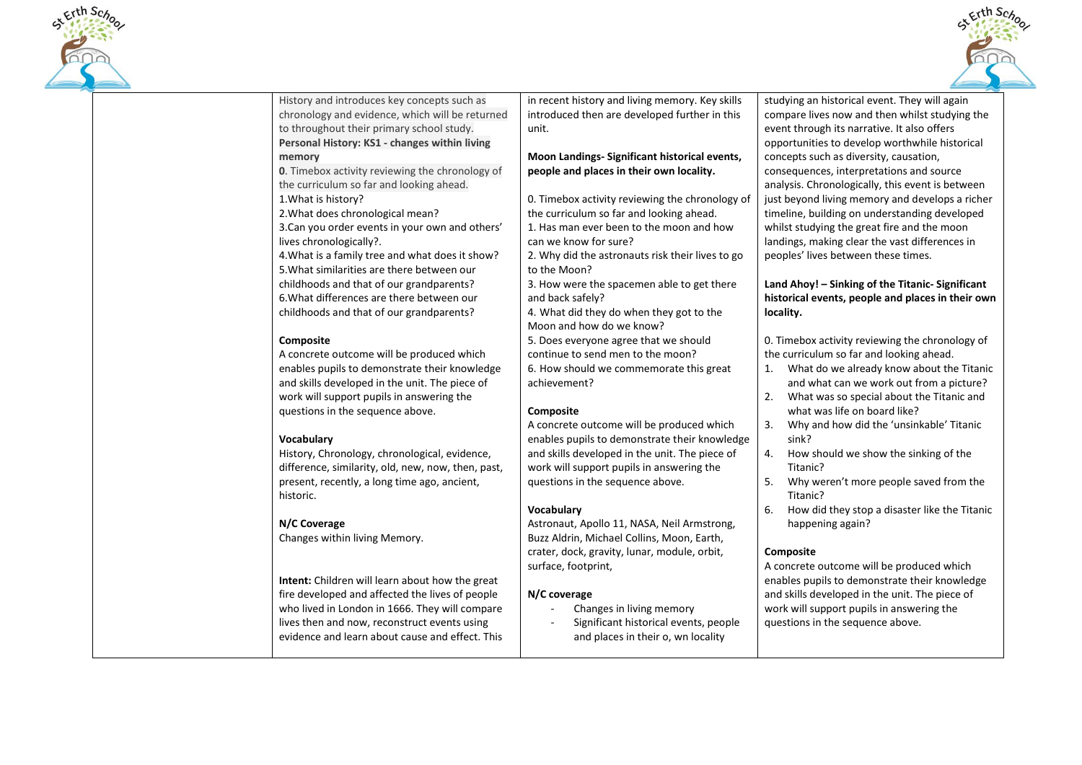



History and introduces key concepts such as chronology and evidence, which will be returned to throughout their primary school study. **Personal History: KS1 - changes within living memory 0**. Timebox activity reviewing the chronology of the curriculum so far and looking ahead. 1.What is history? 2.What does chronological mean? 3.Can you order events in your own and others' lives chronologically?. 4.What is a family tree and what does it show? 5.What similarities are there between our childhoods and that of our grandparents? 6.What differences are there between our childhoods and that of our grandparents? **Composite** A concrete outcome will be produced which enables pupils to demonstrate their knowledge and skills developed in the unit. The piece of work will support pupils in answering the questions in the sequence above. **Vocabulary** History, Chronology, chronological, evidence, difference, similarity, old, new, now, then, past, present, recently, a long time ago, ancient, historic.

## **N/C Coverage**

Changes within living Memory.

**Intent:** Children will learn about how the great fire developed and affected the lives of people who lived in London in 1666. They will compare lives then and now, reconstruct events using evidence and learn about cause and effect. This

in recent history and living memory. Key skills introduced then are developed further in this unit.

#### **Moon Landings- Significant historical events, people and places in their own locality.**

0. Timebox activity reviewing the chronology of the curriculum so far and looking ahead. 1. Has man ever been to the moon and how can we know for sure?

2. Why did the astronauts risk their lives to go to the Moon?

3. How were the spacemen able to get there and back safely?

4. What did they do when they got to the Moon and how do we know?

5. Does everyone agree that we should continue to send men to the moon? 6. How should we commemorate this great achievement?

# **Composite**

A concrete outcome will be produced which enables pupils to demonstrate their knowledge and skills developed in the unit. The piece of work will support pupils in answering the questions in the sequence above.

# **Vocabulary**

Astronaut, Apollo 11, NASA, Neil Armstrong, Buzz Aldrin, Michael Collins, Moon, Earth, crater, dock, gravity, lunar, module, orbit, surface, footprint,

## **N/C coverage**

- Changes in living memory
- Significant historical events, people and places in their o, wn locality

studying an historical event. They will again compare lives now and then whilst studying the event through its narrative. It also offers opportunities to develop worthwhile historical concepts such as diversity, causation, consequences, interpretations and source analysis. Chronologically, this event is between just beyond living memory and develops a richer timeline, building on understanding developed whilst studying the great fire and the moon landings, making clear the vast differences in peoples' lives between these times.

#### **Land Ahoy! – Sinking of the Titanic- Significant historical events, people and places in their own locality.**

0. Timebox activity reviewing the chronology of the curriculum so far and looking ahead.

- 1. What do we already know about the Titanic and what can we work out from a picture?
- 2. What was so special about the Titanic and what was life on board like?
- 3. Why and how did the 'unsinkable' Titanic sink?
- 4. How should we show the sinking of the Titanic?
- 5. Why weren't more people saved from the Titanic?
- 6. How did they stop a disaster like the Titanic happening again?

## **Composite**

A concrete outcome will be produced which enables pupils to demonstrate their knowledge and skills developed in the unit. The piece of work will support pupils in answering the questions in the sequence above.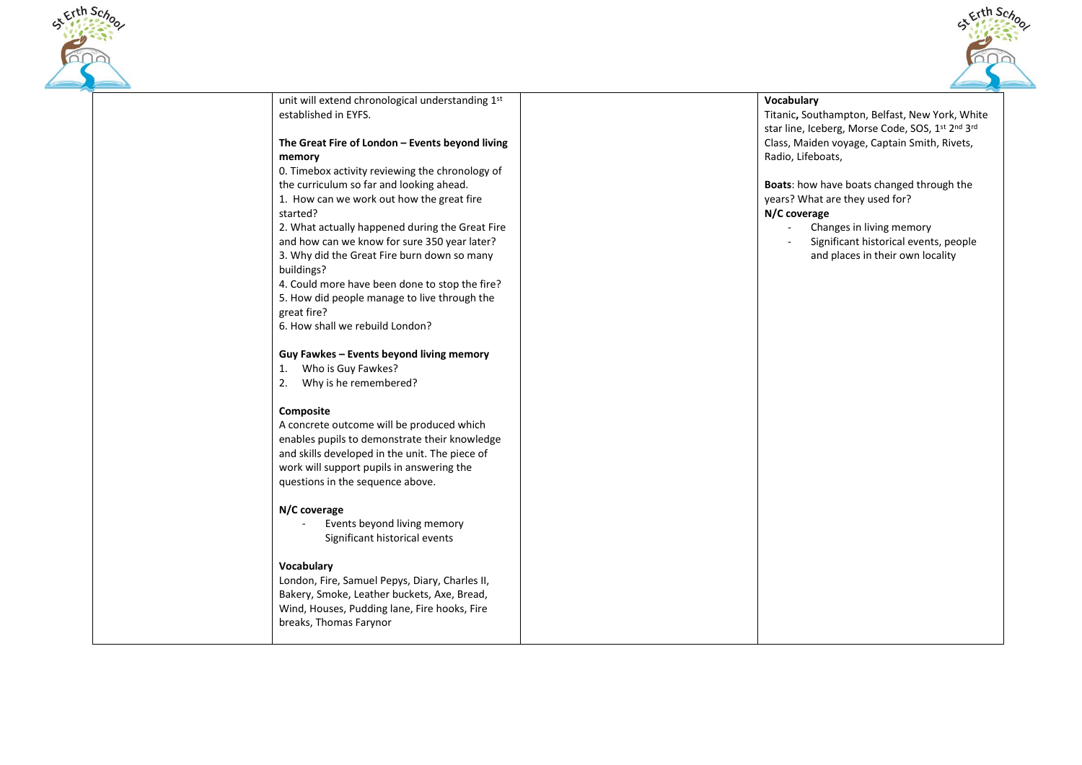



unit will extend chronological understanding 1st established in EYFS. **The Great Fire of London – Events beyond living memory**  0. Timebox activity reviewing the chronology of the curriculum so far and looking ahead. 1. How can we work out how the great fire started? 2. What actually happened during the Great Fire and how can we know for sure 350 year later? 3. Why did the Great Fire burn down so many buildings? 4. Could more have been done to stop the fire? 5. How did people manage to live through the great fire? 6. How shall we rebuild London? **Guy Fawkes – Events beyond living memory**  1. Who is Guy Fawkes? 2. Why is he remembered? **Composite** A concrete outcome will be produced which enables pupils to demonstrate their knowledge and skills developed in the unit. The piece of work will support pupils in answering the questions in the sequence above. **N/C coverage** - Events beyond living memory Significant historical events **Vocabulary**  London, Fire, Samuel Pepys, Diary, Charles II, Bakery, Smoke, Leather buckets, Axe, Bread, Wind, Houses, Pudding lane, Fire hooks, Fire breaks, Thomas Farynor **Vocabulary**  Titanic**,** Southampton, Belfast, New York, White star line, Iceberg, Morse Code, SOS, 1<sup>st</sup> 2<sup>nd</sup> 3<sup>rd</sup> Class, Maiden voyage, Captain Smith, Rivets, Radio, Lifeboats, **Boats**: how have boats changed through the years? What are they used for? **N/C coverage** Changes in living memory - Significant historical events, people and places in their own locality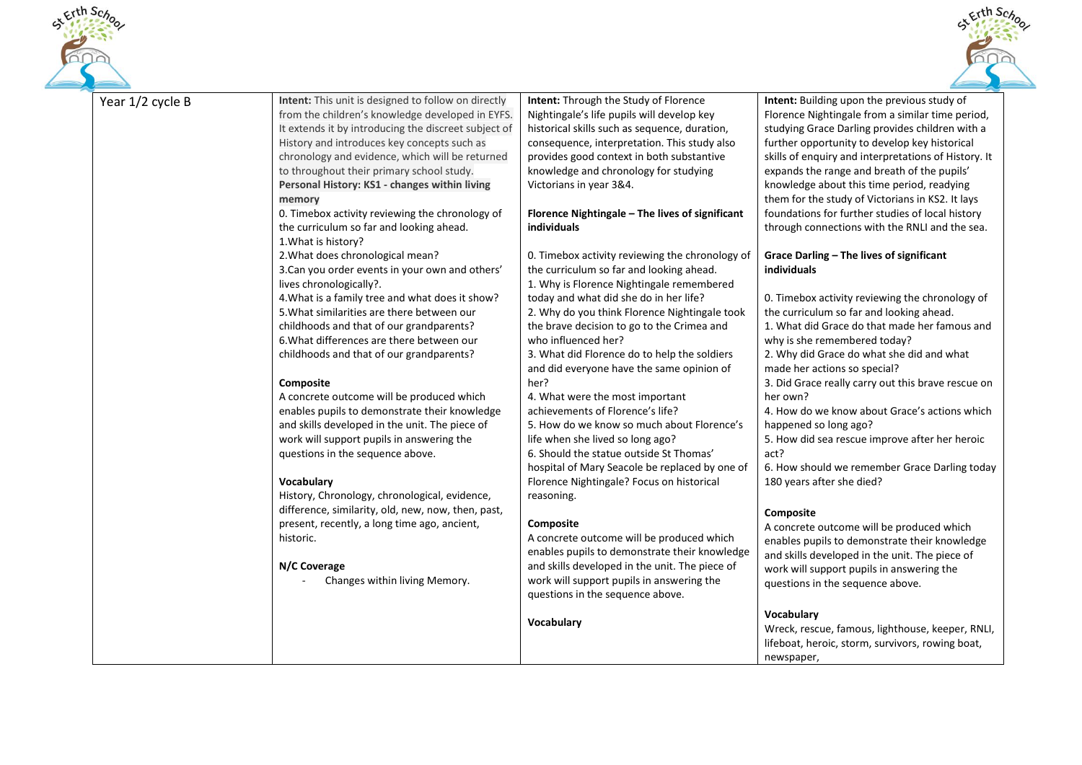



| Year 1/2 cycle B | Intent: This unit is designed to follow on directly  | Intent: Through the Study of Florence           | Intent: Building upon the previous study of          |
|------------------|------------------------------------------------------|-------------------------------------------------|------------------------------------------------------|
|                  | from the children's knowledge developed in EYFS.     | Nightingale's life pupils will develop key      | Florence Nightingale from a similar time period,     |
|                  | It extends it by introducing the discreet subject of | historical skills such as sequence, duration,   | studying Grace Darling provides children with a      |
|                  | History and introduces key concepts such as          | consequence, interpretation. This study also    | further opportunity to develop key historical        |
|                  | chronology and evidence, which will be returned      | provides good context in both substantive       | skills of enquiry and interpretations of History. It |
|                  | to throughout their primary school study.            | knowledge and chronology for studying           | expands the range and breath of the pupils'          |
|                  | Personal History: KS1 - changes within living        | Victorians in year 3&4.                         | knowledge about this time period, readying           |
|                  | memory                                               |                                                 | them for the study of Victorians in KS2. It lays     |
|                  | 0. Timebox activity reviewing the chronology of      | Florence Nightingale - The lives of significant | foundations for further studies of local history     |
|                  | the curriculum so far and looking ahead.             | individuals                                     | through connections with the RNLI and the sea.       |
|                  | 1. What is history?                                  |                                                 |                                                      |
|                  | 2. What does chronological mean?                     | 0. Timebox activity reviewing the chronology of | Grace Darling - The lives of significant             |
|                  | 3. Can you order events in your own and others'      | the curriculum so far and looking ahead.        | individuals                                          |
|                  | lives chronologically?.                              | 1. Why is Florence Nightingale remembered       |                                                      |
|                  | 4. What is a family tree and what does it show?      | today and what did she do in her life?          | 0. Timebox activity reviewing the chronology of      |
|                  | 5. What similarities are there between our           | 2. Why do you think Florence Nightingale took   | the curriculum so far and looking ahead.             |
|                  | childhoods and that of our grandparents?             | the brave decision to go to the Crimea and      | 1. What did Grace do that made her famous and        |
|                  | 6. What differences are there between our            | who influenced her?                             | why is she remembered today?                         |
|                  | childhoods and that of our grandparents?             | 3. What did Florence do to help the soldiers    | 2. Why did Grace do what she did and what            |
|                  |                                                      | and did everyone have the same opinion of       | made her actions so special?                         |
|                  | Composite                                            | her?                                            | 3. Did Grace really carry out this brave rescue on   |
|                  | A concrete outcome will be produced which            | 4. What were the most important                 | her own?                                             |
|                  | enables pupils to demonstrate their knowledge        | achievements of Florence's life?                | 4. How do we know about Grace's actions which        |
|                  | and skills developed in the unit. The piece of       | 5. How do we know so much about Florence's      | happened so long ago?                                |
|                  | work will support pupils in answering the            | life when she lived so long ago?                | 5. How did sea rescue improve after her heroic       |
|                  | questions in the sequence above.                     | 6. Should the statue outside St Thomas'         | act?                                                 |
|                  |                                                      | hospital of Mary Seacole be replaced by one of  | 6. How should we remember Grace Darling today        |
|                  | Vocabulary                                           | Florence Nightingale? Focus on historical       | 180 years after she died?                            |
|                  | History, Chronology, chronological, evidence,        | reasoning.                                      |                                                      |
|                  | difference, similarity, old, new, now, then, past,   |                                                 | Composite                                            |
|                  | present, recently, a long time ago, ancient,         | <b>Composite</b>                                | A concrete outcome will be produced which            |
|                  | historic.                                            | A concrete outcome will be produced which       | enables pupils to demonstrate their knowledge        |
|                  |                                                      | enables pupils to demonstrate their knowledge   | and skills developed in the unit. The piece of       |
|                  | N/C Coverage                                         | and skills developed in the unit. The piece of  | work will support pupils in answering the            |
|                  | Changes within living Memory.                        | work will support pupils in answering the       | questions in the sequence above.                     |
|                  |                                                      | questions in the sequence above.                |                                                      |
|                  |                                                      |                                                 | Vocabulary                                           |
|                  |                                                      | Vocabulary                                      | Wreck, rescue, famous, lighthouse, keeper, RNLI,     |
|                  |                                                      |                                                 | lifeboat, heroic, storm, survivors, rowing boat,     |
|                  |                                                      |                                                 | newspaper,                                           |
|                  |                                                      |                                                 |                                                      |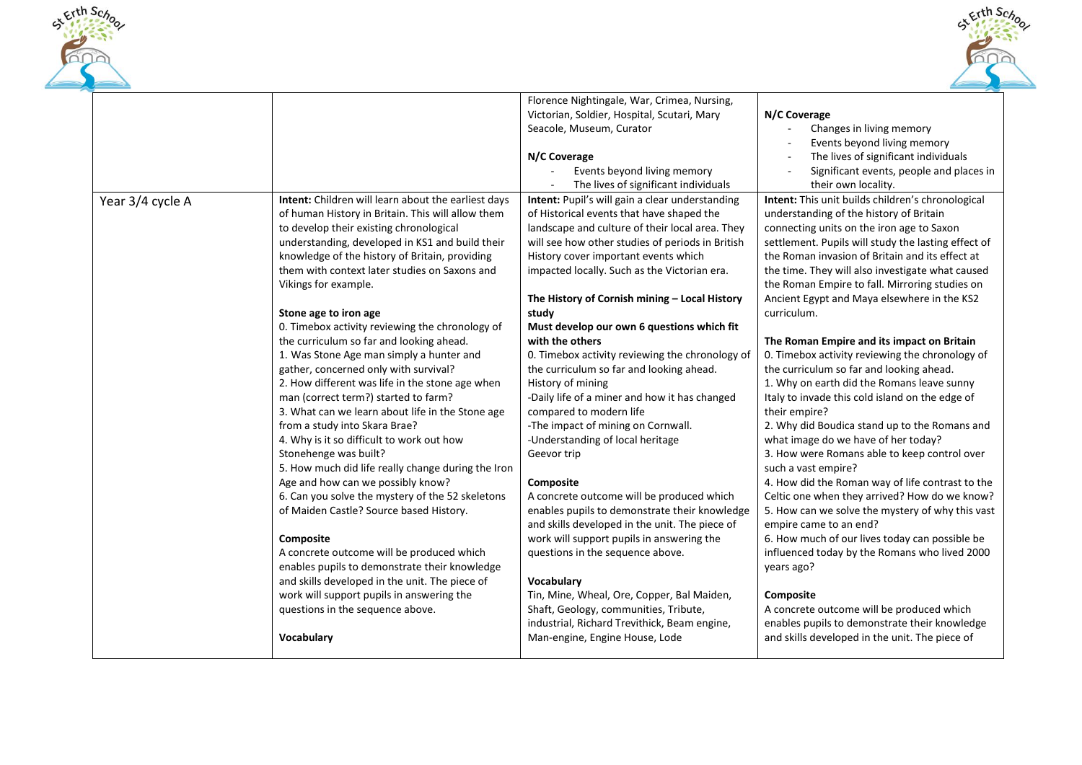



|                  |                                                     | Florence Nightingale, War, Crimea, Nursing,      |                                                     |
|------------------|-----------------------------------------------------|--------------------------------------------------|-----------------------------------------------------|
|                  |                                                     | Victorian, Soldier, Hospital, Scutari, Mary      | N/C Coverage                                        |
|                  |                                                     | Seacole, Museum, Curator                         | Changes in living memory                            |
|                  |                                                     |                                                  | Events beyond living memory                         |
|                  |                                                     |                                                  |                                                     |
|                  |                                                     | N/C Coverage                                     | The lives of significant individuals                |
|                  |                                                     | Events beyond living memory                      | Significant events, people and places in            |
|                  |                                                     | The lives of significant individuals             | their own locality.                                 |
| Year 3/4 cycle A | Intent: Children will learn about the earliest days | Intent: Pupil's will gain a clear understanding  | Intent: This unit builds children's chronological   |
|                  | of human History in Britain. This will allow them   | of Historical events that have shaped the        | understanding of the history of Britain             |
|                  | to develop their existing chronological             | landscape and culture of their local area. They  | connecting units on the iron age to Saxon           |
|                  | understanding, developed in KS1 and build their     | will see how other studies of periods in British | settlement. Pupils will study the lasting effect of |
|                  | knowledge of the history of Britain, providing      | History cover important events which             | the Roman invasion of Britain and its effect at     |
|                  | them with context later studies on Saxons and       | impacted locally. Such as the Victorian era.     | the time. They will also investigate what caused    |
|                  | Vikings for example.                                |                                                  | the Roman Empire to fall. Mirroring studies on      |
|                  |                                                     | The History of Cornish mining - Local History    | Ancient Egypt and Maya elsewhere in the KS2         |
|                  | Stone age to iron age                               | study                                            | curriculum.                                         |
|                  | 0. Timebox activity reviewing the chronology of     | Must develop our own 6 questions which fit       |                                                     |
|                  | the curriculum so far and looking ahead.            | with the others                                  | The Roman Empire and its impact on Britain          |
|                  | 1. Was Stone Age man simply a hunter and            | 0. Timebox activity reviewing the chronology of  | 0. Timebox activity reviewing the chronology of     |
|                  | gather, concerned only with survival?               | the curriculum so far and looking ahead.         | the curriculum so far and looking ahead.            |
|                  | 2. How different was life in the stone age when     | History of mining                                | 1. Why on earth did the Romans leave sunny          |
|                  | man (correct term?) started to farm?                | -Daily life of a miner and how it has changed    | Italy to invade this cold island on the edge of     |
|                  | 3. What can we learn about life in the Stone age    | compared to modern life                          | their empire?                                       |
|                  | from a study into Skara Brae?                       | -The impact of mining on Cornwall.               | 2. Why did Boudica stand up to the Romans and       |
|                  | 4. Why is it so difficult to work out how           | -Understanding of local heritage                 | what image do we have of her today?                 |
|                  | Stonehenge was built?                               | Geevor trip                                      | 3. How were Romans able to keep control over        |
|                  | 5. How much did life really change during the Iron  |                                                  | such a vast empire?                                 |
|                  | Age and how can we possibly know?                   | Composite                                        | 4. How did the Roman way of life contrast to the    |
|                  | 6. Can you solve the mystery of the 52 skeletons    | A concrete outcome will be produced which        | Celtic one when they arrived? How do we know?       |
|                  | of Maiden Castle? Source based History.             | enables pupils to demonstrate their knowledge    | 5. How can we solve the mystery of why this vast    |
|                  |                                                     | and skills developed in the unit. The piece of   | empire came to an end?                              |
|                  | Composite                                           | work will support pupils in answering the        | 6. How much of our lives today can possible be      |
|                  | A concrete outcome will be produced which           | questions in the sequence above.                 | influenced today by the Romans who lived 2000       |
|                  | enables pupils to demonstrate their knowledge       |                                                  | years ago?                                          |
|                  | and skills developed in the unit. The piece of      | Vocabulary                                       |                                                     |
|                  | work will support pupils in answering the           | Tin, Mine, Wheal, Ore, Copper, Bal Maiden,       | Composite                                           |
|                  | questions in the sequence above.                    | Shaft, Geology, communities, Tribute,            | A concrete outcome will be produced which           |
|                  |                                                     | industrial, Richard Trevithick, Beam engine,     | enables pupils to demonstrate their knowledge       |
|                  | Vocabulary                                          | Man-engine, Engine House, Lode                   | and skills developed in the unit. The piece of      |
|                  |                                                     |                                                  |                                                     |
|                  |                                                     |                                                  |                                                     |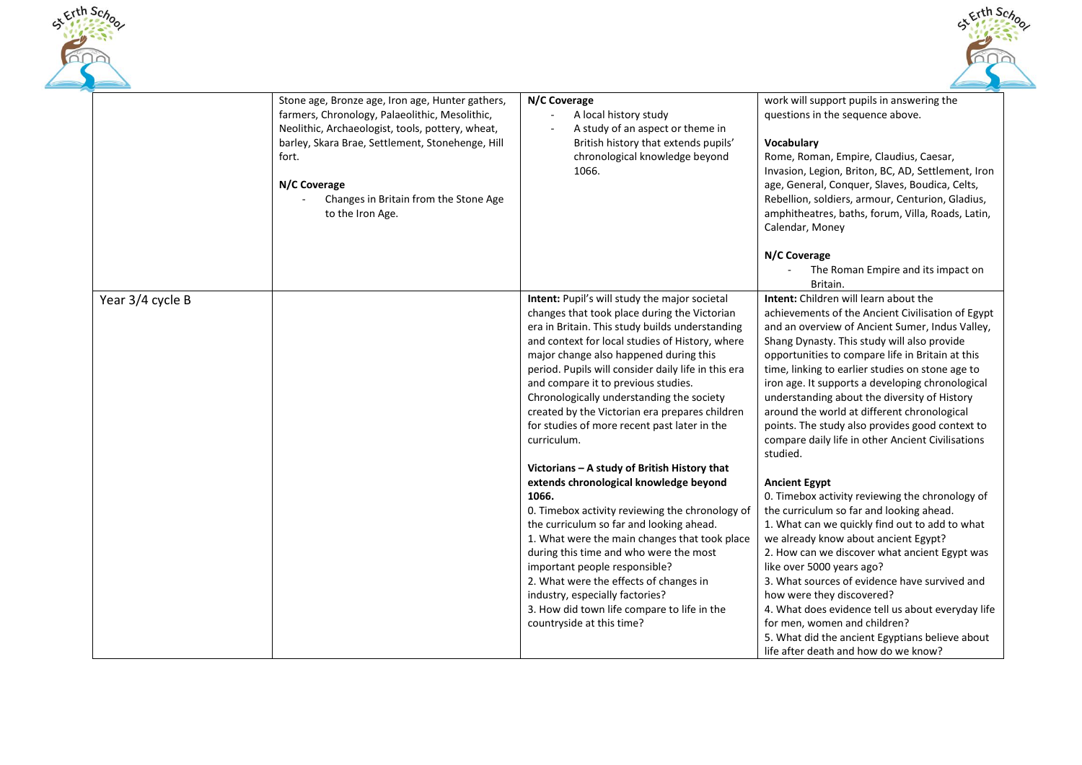



|                  | Stone age, Bronze age, Iron age, Hunter gathers,<br>farmers, Chronology, Palaeolithic, Mesolithic,<br>Neolithic, Archaeologist, tools, pottery, wheat,<br>barley, Skara Brae, Settlement, Stonehenge, Hill<br>fort.<br>N/C Coverage<br>Changes in Britain from the Stone Age<br>to the Iron Age. | N/C Coverage<br>A local history study<br>A study of an aspect or theme in<br>British history that extends pupils'<br>chronological knowledge beyond<br>1066.                                                                                                                                                                                                                                                                                                                                              | work will support pupils in answering the<br>questions in the sequence above.<br>Vocabulary<br>Rome, Roman, Empire, Claudius, Caesar,<br>Invasion, Legion, Briton, BC, AD, Settlement, Iron<br>age, General, Conquer, Slaves, Boudica, Celts,<br>Rebellion, soldiers, armour, Centurion, Gladius,<br>amphitheatres, baths, forum, Villa, Roads, Latin,<br>Calendar, Money<br>N/C Coverage<br>The Roman Empire and its impact on<br>Britain.                                                                                                                                 |
|------------------|--------------------------------------------------------------------------------------------------------------------------------------------------------------------------------------------------------------------------------------------------------------------------------------------------|-----------------------------------------------------------------------------------------------------------------------------------------------------------------------------------------------------------------------------------------------------------------------------------------------------------------------------------------------------------------------------------------------------------------------------------------------------------------------------------------------------------|-----------------------------------------------------------------------------------------------------------------------------------------------------------------------------------------------------------------------------------------------------------------------------------------------------------------------------------------------------------------------------------------------------------------------------------------------------------------------------------------------------------------------------------------------------------------------------|
| Year 3/4 cycle B |                                                                                                                                                                                                                                                                                                  | Intent: Pupil's will study the major societal<br>changes that took place during the Victorian<br>era in Britain. This study builds understanding<br>and context for local studies of History, where<br>major change also happened during this<br>period. Pupils will consider daily life in this era<br>and compare it to previous studies.<br>Chronologically understanding the society<br>created by the Victorian era prepares children<br>for studies of more recent past later in the<br>curriculum. | Intent: Children will learn about the<br>achievements of the Ancient Civilisation of Egypt<br>and an overview of Ancient Sumer, Indus Valley,<br>Shang Dynasty. This study will also provide<br>opportunities to compare life in Britain at this<br>time, linking to earlier studies on stone age to<br>iron age. It supports a developing chronological<br>understanding about the diversity of History<br>around the world at different chronological<br>points. The study also provides good context to<br>compare daily life in other Ancient Civilisations<br>studied. |
|                  |                                                                                                                                                                                                                                                                                                  | Victorians - A study of British History that<br>extends chronological knowledge beyond<br>1066.<br>0. Timebox activity reviewing the chronology of<br>the curriculum so far and looking ahead.<br>1. What were the main changes that took place<br>during this time and who were the most<br>important people responsible?<br>2. What were the effects of changes in<br>industry, especially factories?<br>3. How did town life compare to life in the<br>countryside at this time?                       | <b>Ancient Egypt</b><br>0. Timebox activity reviewing the chronology of<br>the curriculum so far and looking ahead.<br>1. What can we quickly find out to add to what<br>we already know about ancient Egypt?<br>2. How can we discover what ancient Egypt was<br>like over 5000 years ago?<br>3. What sources of evidence have survived and<br>how were they discovered?<br>4. What does evidence tell us about everyday life<br>for men, women and children?<br>5. What did the ancient Egyptians believe about<br>life after death and how do we know?                   |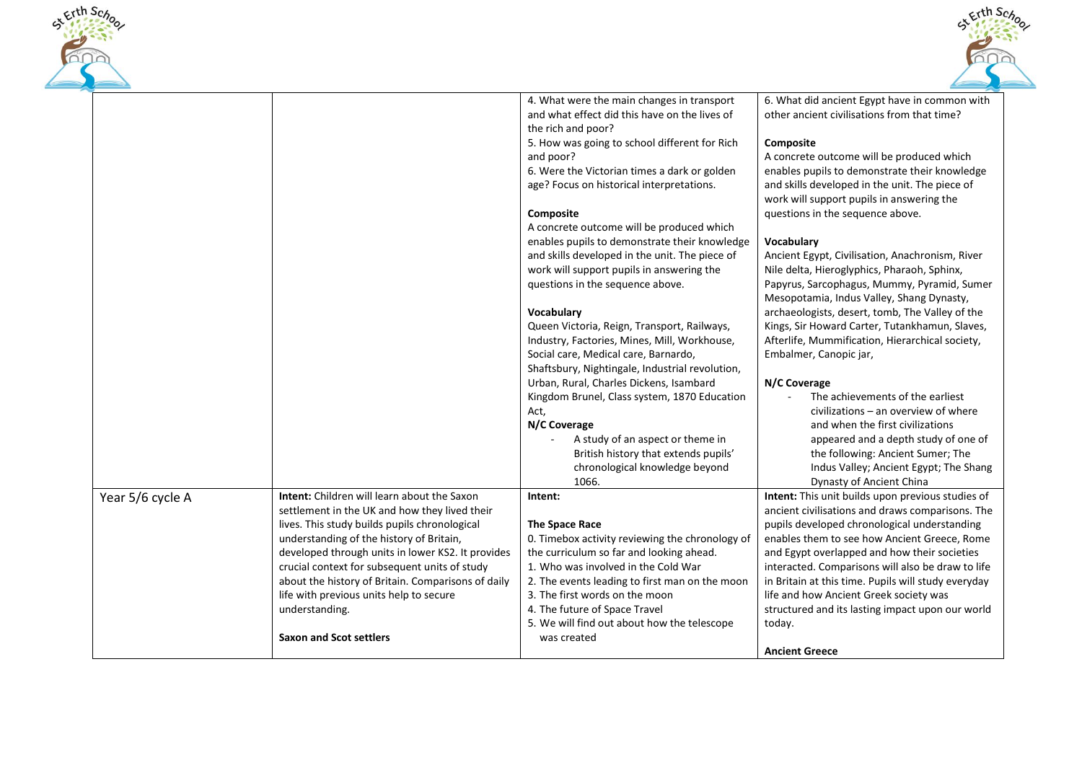



|                  |                                                    | 4. What were the main changes in transport<br>and what effect did this have on the lives of | 6. What did ancient Egypt have in common with<br>other ancient civilisations from that time? |
|------------------|----------------------------------------------------|---------------------------------------------------------------------------------------------|----------------------------------------------------------------------------------------------|
|                  |                                                    | the rich and poor?                                                                          |                                                                                              |
|                  |                                                    | 5. How was going to school different for Rich                                               | Composite                                                                                    |
|                  |                                                    | and poor?                                                                                   | A concrete outcome will be produced which                                                    |
|                  |                                                    | 6. Were the Victorian times a dark or golden                                                | enables pupils to demonstrate their knowledge                                                |
|                  |                                                    | age? Focus on historical interpretations.                                                   | and skills developed in the unit. The piece of                                               |
|                  |                                                    |                                                                                             | work will support pupils in answering the                                                    |
|                  |                                                    | <b>Composite</b><br>A concrete outcome will be produced which                               | questions in the sequence above.                                                             |
|                  |                                                    | enables pupils to demonstrate their knowledge                                               | Vocabulary                                                                                   |
|                  |                                                    | and skills developed in the unit. The piece of                                              | Ancient Egypt, Civilisation, Anachronism, River                                              |
|                  |                                                    | work will support pupils in answering the                                                   | Nile delta, Hieroglyphics, Pharaoh, Sphinx,                                                  |
|                  |                                                    | questions in the sequence above.                                                            | Papyrus, Sarcophagus, Mummy, Pyramid, Sumer                                                  |
|                  |                                                    |                                                                                             | Mesopotamia, Indus Valley, Shang Dynasty,                                                    |
|                  |                                                    | Vocabulary                                                                                  | archaeologists, desert, tomb, The Valley of the                                              |
|                  |                                                    | Queen Victoria, Reign, Transport, Railways,                                                 | Kings, Sir Howard Carter, Tutankhamun, Slaves,                                               |
|                  |                                                    | Industry, Factories, Mines, Mill, Workhouse,                                                | Afterlife, Mummification, Hierarchical society,                                              |
|                  |                                                    | Social care, Medical care, Barnardo,                                                        | Embalmer, Canopic jar,                                                                       |
|                  |                                                    | Shaftsbury, Nightingale, Industrial revolution,                                             |                                                                                              |
|                  |                                                    | Urban, Rural, Charles Dickens, Isambard                                                     | N/C Coverage                                                                                 |
|                  |                                                    | Kingdom Brunel, Class system, 1870 Education                                                | The achievements of the earliest                                                             |
|                  |                                                    | Act,                                                                                        | civilizations – an overview of where                                                         |
|                  |                                                    | N/C Coverage                                                                                | and when the first civilizations                                                             |
|                  |                                                    | A study of an aspect or theme in<br>$\sim$                                                  | appeared and a depth study of one of                                                         |
|                  |                                                    | British history that extends pupils'                                                        | the following: Ancient Sumer; The                                                            |
|                  |                                                    | chronological knowledge beyond                                                              | Indus Valley; Ancient Egypt; The Shang                                                       |
|                  |                                                    | 1066.                                                                                       | Dynasty of Ancient China                                                                     |
| Year 5/6 cycle A | <b>Intent:</b> Children will learn about the Saxon | Intent:                                                                                     | Intent: This unit builds upon previous studies of                                            |
|                  | settlement in the UK and how they lived their      |                                                                                             | ancient civilisations and draws comparisons. The                                             |
|                  | lives. This study builds pupils chronological      | The Space Race                                                                              | pupils developed chronological understanding                                                 |
|                  | understanding of the history of Britain,           | 0. Timebox activity reviewing the chronology of                                             | enables them to see how Ancient Greece, Rome                                                 |
|                  | developed through units in lower KS2. It provides  | the curriculum so far and looking ahead.                                                    | and Egypt overlapped and how their societies                                                 |
|                  | crucial context for subsequent units of study      | 1. Who was involved in the Cold War                                                         | interacted. Comparisons will also be draw to life                                            |
|                  | about the history of Britain. Comparisons of daily | 2. The events leading to first man on the moon                                              | in Britain at this time. Pupils will study everyday                                          |
|                  | life with previous units help to secure            | 3. The first words on the moon                                                              | life and how Ancient Greek society was                                                       |
|                  | understanding.                                     | 4. The future of Space Travel                                                               | structured and its lasting impact upon our world                                             |
|                  |                                                    | 5. We will find out about how the telescope                                                 | today.                                                                                       |
|                  | <b>Saxon and Scot settlers</b>                     | was created                                                                                 | <b>Ancient Greece</b>                                                                        |
|                  |                                                    |                                                                                             |                                                                                              |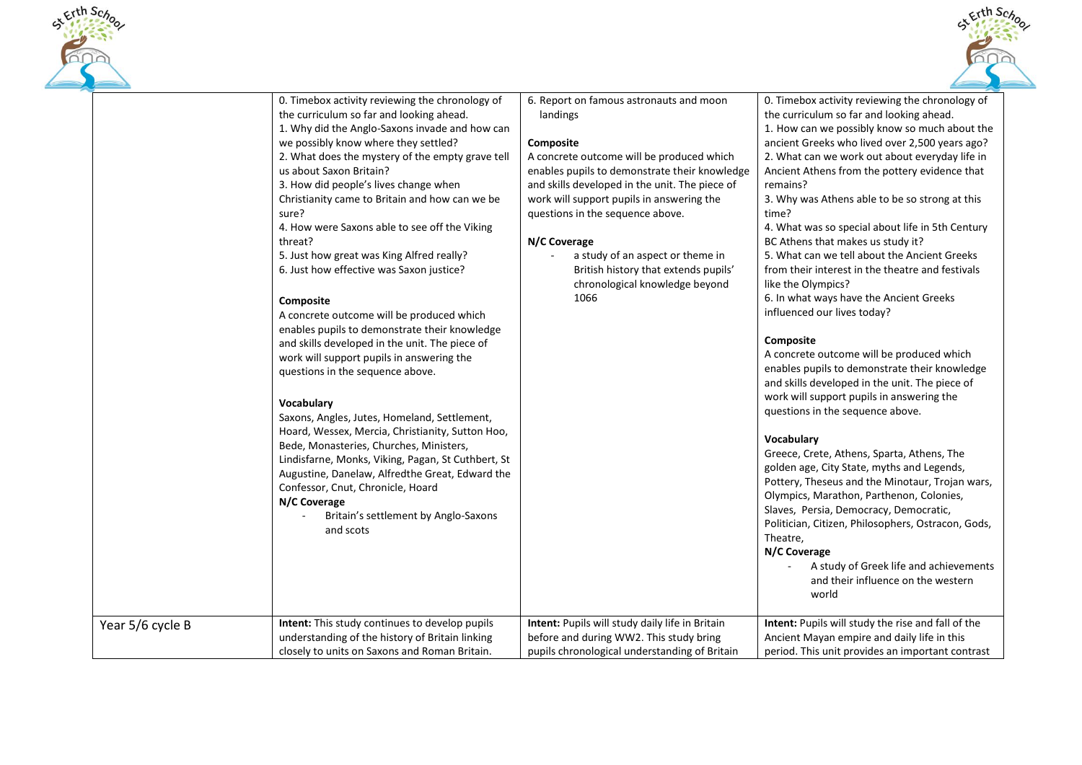



|                  | 0. Timebox activity reviewing the chronology of<br>the curriculum so far and looking ahead.<br>1. Why did the Anglo-Saxons invade and how can<br>we possibly know where they settled?<br>2. What does the mystery of the empty grave tell<br>us about Saxon Britain?<br>3. How did people's lives change when<br>Christianity came to Britain and how can we be<br>sure?<br>4. How were Saxons able to see off the Viking<br>threat?<br>5. Just how great was King Alfred really?<br>6. Just how effective was Saxon justice?<br>Composite<br>A concrete outcome will be produced which<br>enables pupils to demonstrate their knowledge<br>and skills developed in the unit. The piece of<br>work will support pupils in answering the<br>questions in the sequence above.<br>Vocabulary<br>Saxons, Angles, Jutes, Homeland, Settlement,<br>Hoard, Wessex, Mercia, Christianity, Sutton Hoo,<br>Bede, Monasteries, Churches, Ministers,<br>Lindisfarne, Monks, Viking, Pagan, St Cuthbert, St<br>Augustine, Danelaw, Alfredthe Great, Edward the<br>Confessor, Cnut, Chronicle, Hoard<br>N/C Coverage<br>Britain's settlement by Anglo-Saxons<br>and scots | 6. Report on famous astronauts and moon<br>landings<br>Composite<br>A concrete outcome will be produced which<br>enables pupils to demonstrate their knowledge<br>and skills developed in the unit. The piece of<br>work will support pupils in answering the<br>questions in the sequence above.<br>N/C Coverage<br>a study of an aspect or theme in<br>British history that extends pupils'<br>chronological knowledge beyond<br>1066 | 0. Timebox activity reviewing the chronology of<br>the curriculum so far and looking ahead.<br>1. How can we possibly know so much about the<br>ancient Greeks who lived over 2,500 years ago?<br>2. What can we work out about everyday life in<br>Ancient Athens from the pottery evidence that<br>remains?<br>3. Why was Athens able to be so strong at this<br>time?<br>4. What was so special about life in 5th Century<br>BC Athens that makes us study it?<br>5. What can we tell about the Ancient Greeks<br>from their interest in the theatre and festivals<br>like the Olympics?<br>6. In what ways have the Ancient Greeks<br>influenced our lives today?<br>Composite<br>A concrete outcome will be produced which<br>enables pupils to demonstrate their knowledge<br>and skills developed in the unit. The piece of<br>work will support pupils in answering the<br>questions in the sequence above.<br>Vocabulary<br>Greece, Crete, Athens, Sparta, Athens, The<br>golden age, City State, myths and Legends,<br>Pottery, Theseus and the Minotaur, Trojan wars,<br>Olympics, Marathon, Parthenon, Colonies,<br>Slaves, Persia, Democracy, Democratic,<br>Politician, Citizen, Philosophers, Ostracon, Gods,<br>Theatre,<br>N/C Coverage<br>A study of Greek life and achievements |
|------------------|-------------------------------------------------------------------------------------------------------------------------------------------------------------------------------------------------------------------------------------------------------------------------------------------------------------------------------------------------------------------------------------------------------------------------------------------------------------------------------------------------------------------------------------------------------------------------------------------------------------------------------------------------------------------------------------------------------------------------------------------------------------------------------------------------------------------------------------------------------------------------------------------------------------------------------------------------------------------------------------------------------------------------------------------------------------------------------------------------------------------------------------------------------------|-----------------------------------------------------------------------------------------------------------------------------------------------------------------------------------------------------------------------------------------------------------------------------------------------------------------------------------------------------------------------------------------------------------------------------------------|----------------------------------------------------------------------------------------------------------------------------------------------------------------------------------------------------------------------------------------------------------------------------------------------------------------------------------------------------------------------------------------------------------------------------------------------------------------------------------------------------------------------------------------------------------------------------------------------------------------------------------------------------------------------------------------------------------------------------------------------------------------------------------------------------------------------------------------------------------------------------------------------------------------------------------------------------------------------------------------------------------------------------------------------------------------------------------------------------------------------------------------------------------------------------------------------------------------------------------------------------------------------------------------------------|
| Year 5/6 cycle B | Intent: This study continues to develop pupils<br>understanding of the history of Britain linking<br>closely to units on Saxons and Roman Britain.                                                                                                                                                                                                                                                                                                                                                                                                                                                                                                                                                                                                                                                                                                                                                                                                                                                                                                                                                                                                          | Intent: Pupils will study daily life in Britain<br>before and during WW2. This study bring<br>pupils chronological understanding of Britain                                                                                                                                                                                                                                                                                             | and their influence on the western<br>world<br>Intent: Pupils will study the rise and fall of the<br>Ancient Mayan empire and daily life in this<br>period. This unit provides an important contrast                                                                                                                                                                                                                                                                                                                                                                                                                                                                                                                                                                                                                                                                                                                                                                                                                                                                                                                                                                                                                                                                                               |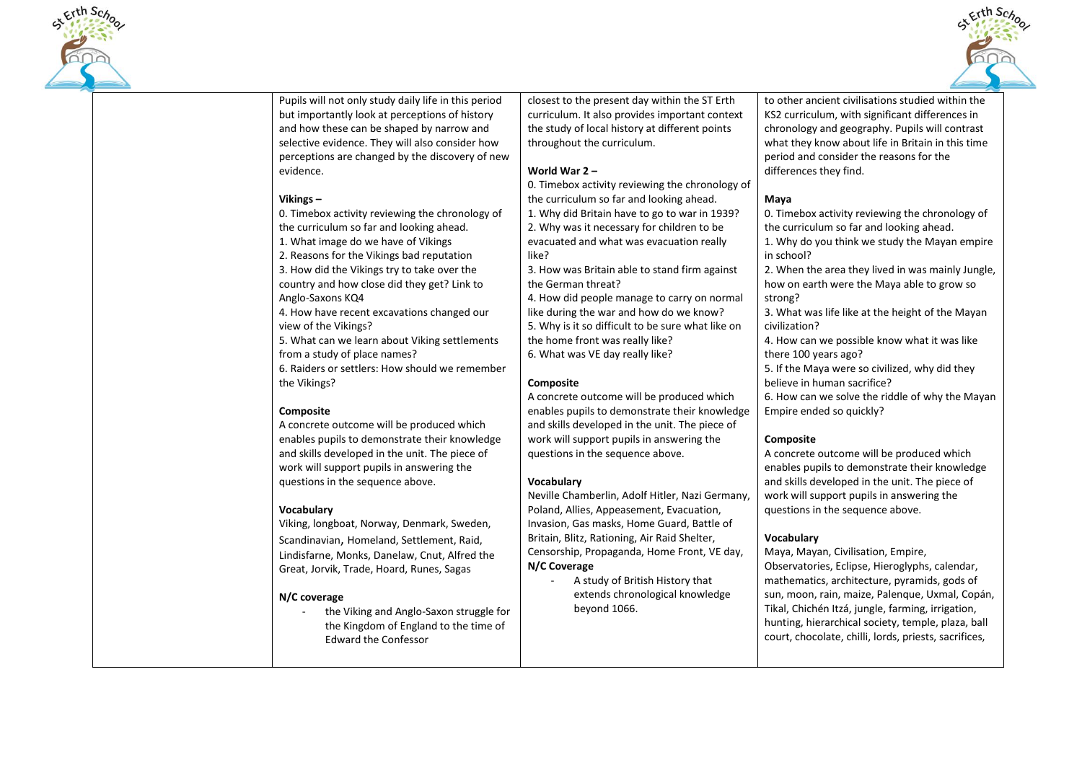



Pupils will not only study daily life in this period but importantly look at perceptions of history and how these can be shaped by narrow and selective evidence. They will also consider how perceptions are changed by the discovery of new evidence.

#### **Vikings –**

0. Timebox activity reviewing the chronology of the curriculum so far and looking ahead.

1. What image do we have of Vikings

2. Reasons for the Vikings bad reputation

3. How did the Vikings try to take over the country and how close did they get? Link to Anglo-Saxons KQ4

4. How have recent excavations changed our view of the Vikings?

5. What can we learn about Viking settlements from a study of place names?

6. Raiders or settlers: How should we remember the Vikings?

## **Composite**

A concrete outcome will be produced which enables pupils to demonstrate their knowledge and skills developed in the unit. The piece of work will support pupils in answering the questions in the sequence above.

## **Vocabulary**

Viking, longboat, Norway, Denmark, Sweden, Scandinavian, Homeland, Settlement, Raid, Lindisfarne, Monks, Danelaw, Cnut, Alfred the Great, Jorvik, Trade, Hoard, Runes, Sagas

#### **N/C coverage**

the Viking and Anglo-Saxon struggle for the Kingdom of England to the time of Edward the Confessor

closest to the present day within the ST Erth curriculum. It also provides important context the study of local history at different points throughout the curriculum.

#### **World War 2 –**

0. Timebox activity reviewing the chronology of the curriculum so far and looking ahead. 1. Why did Britain have to go to war in 1939? 2. Why was it necessary for children to be evacuated and what was evacuation really like?

3. How was Britain able to stand firm against the German threat?

4. How did people manage to carry on normal like during the war and how do we know? 5. Why is it so difficult to be sure what like on the home front was really like? 6. What was VE day really like?

## **Composite**

A concrete outcome will be produced which enables pupils to demonstrate their knowledge and skills developed in the unit. The piece of work will support pupils in answering the questions in the sequence above.

## **Vocabulary**

Neville Chamberlin, Adolf Hitler, Nazi Germany, Poland, Allies, Appeasement, Evacuation, Invasion, Gas masks, Home Guard, Battle of Britain, Blitz, Rationing, Air Raid Shelter, Censorship, Propaganda, Home Front, VE day, **N/C Coverage** 

- A study of British History that extends chronological knowledge beyond 1066.

to other ancient civilisations studied within the KS2 curriculum, with significant differences in chronology and geography. Pupils will contrast what they know about life in Britain in this time period and consider the reasons for the differences they find.

#### **Maya**

0. Timebox activity reviewing the chronology of the curriculum so far and looking ahead.

1. Why do you think we study the Mayan empire in school?

2. When the area they lived in was mainly Jungle, how on earth were the Maya able to grow so strong?

3. What was life like at the height of the Mayan civilization?

4. How can we possible know what it was like there 100 years ago?

5. If the Maya were so civilized, why did they believe in human sacrifice?

6. How can we solve the riddle of why the Mayan Empire ended so quickly?

## **Composite**

A concrete outcome will be produced which enables pupils to demonstrate their knowledge and skills developed in the unit. The piece of work will support pupils in answering the questions in the sequence above.

## **Vocabulary**

Maya, Mayan, Civilisation, Empire, Observatories, Eclipse, Hieroglyphs, calendar, mathematics, architecture, pyramids, gods of sun, moon, rain, maize, Palenque, Uxmal, Copán, Tikal, Chichén Itzá, jungle, farming, irrigation, hunting, hierarchical society, temple, plaza, ball court, chocolate, chilli, lords, priests, sacrifices,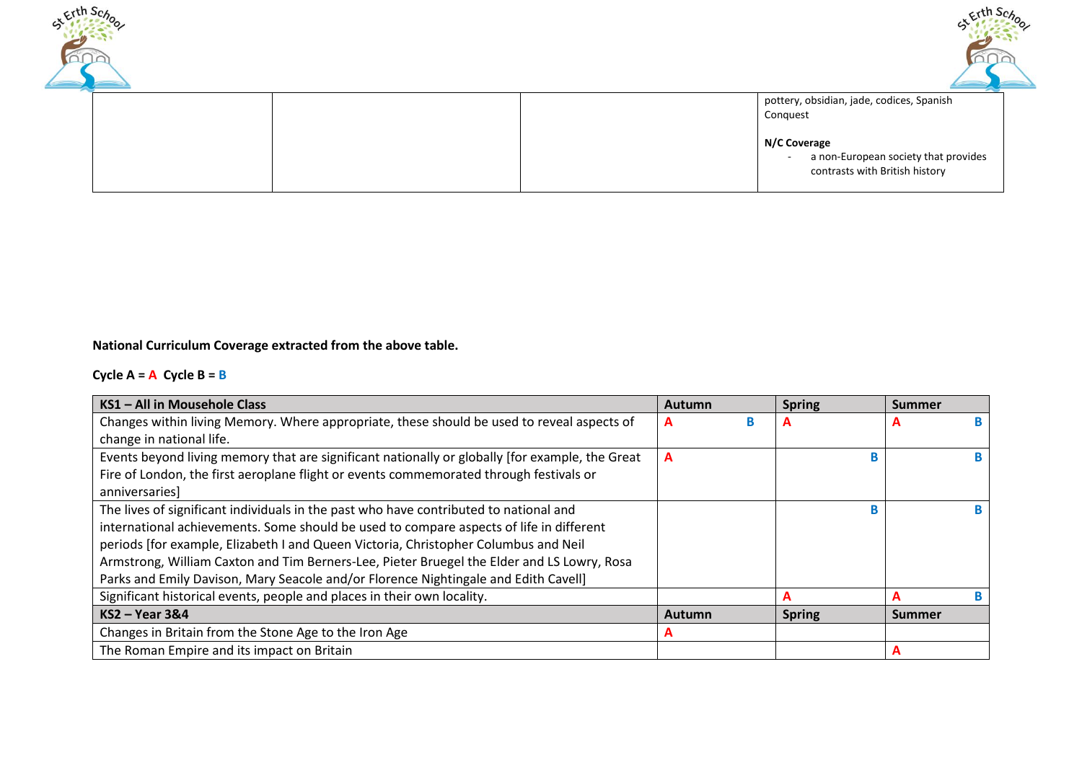



pottery, obsidian, jade, codices, Spanish Conquest **N/C Coverage**  - a non-European society that provides contrasts with British history

**National Curriculum Coverage extracted from the above table.** 

# **Cycle A = A Cycle B = B**

| KS1 - All in Mousehole Class                                                                    | Autumn | <b>Spring</b> | <b>Summer</b> |
|-------------------------------------------------------------------------------------------------|--------|---------------|---------------|
| Changes within living Memory. Where appropriate, these should be used to reveal aspects of      | в<br>A | A             | A             |
| change in national life.                                                                        |        |               |               |
| Events beyond living memory that are significant nationally or globally [for example, the Great | A      |               |               |
| Fire of London, the first aeroplane flight or events commemorated through festivals or          |        |               |               |
| anniversaries]                                                                                  |        |               |               |
| The lives of significant individuals in the past who have contributed to national and           |        |               |               |
| international achievements. Some should be used to compare aspects of life in different         |        |               |               |
| periods [for example, Elizabeth I and Queen Victoria, Christopher Columbus and Neil             |        |               |               |
| Armstrong, William Caxton and Tim Berners-Lee, Pieter Bruegel the Elder and LS Lowry, Rosa      |        |               |               |
| Parks and Emily Davison, Mary Seacole and/or Florence Nightingale and Edith Cavell]             |        |               |               |
| Significant historical events, people and places in their own locality.                         |        | A             | в<br>A        |
| $KS2 - Year3&4$                                                                                 | Autumn | <b>Spring</b> | <b>Summer</b> |
| Changes in Britain from the Stone Age to the Iron Age                                           | А      |               |               |
| The Roman Empire and its impact on Britain                                                      |        |               | A             |